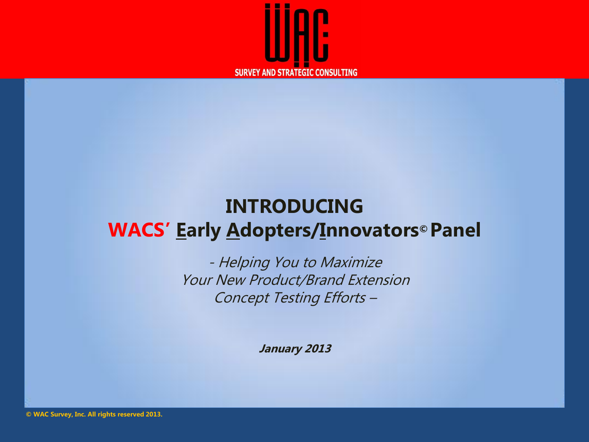

### **INTRODUCING WACS' Early Adopters/Innovators© Panel**

- Helping You to Maximize Your New Product/Brand Extension Concept Testing Efforts –

**January 2013**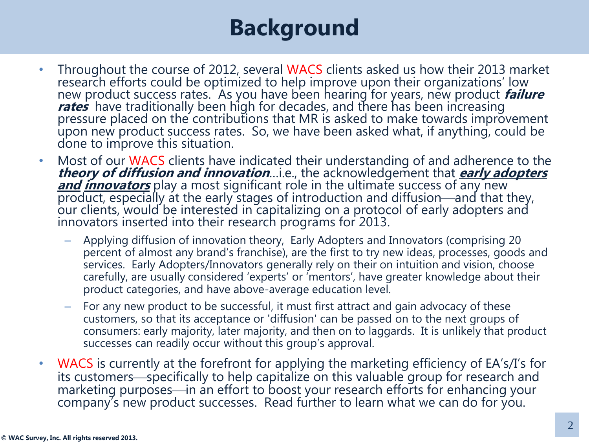# **Background**

- Throughout the course of 2012, several WACS clients asked us how their 2013 market research efforts could be optimized to help improve upon their organizations' low new product success rates. As you have been hearing for years, new product **failure rates** have traditionally been high for decades, and there has been increasing pressure placed on the contributions that MR is asked to make towards improvement upon new product success rates. So, we have been asked what, if anything, could be done to improve this situation.
- Most of our WACS clients have indicated their understanding of and adherence to the **theory of diffusion and innovation**…i.e., the acknowledgement that **early adopters and innovators** play a most significant role in the ultimate success of any new product, especially at the early stages of introduction and diffusion—and that they, our clients, would be interested in capitalizing on a protocol of early adopters and innovators inserted into their research programs for 2013.
	- Applying diffusion of innovation theory, Early Adopters and Innovators (comprising 20 percent of almost any brand's franchise), are the first to try new ideas, processes, goods and services. Early Adopters/Innovators generally rely on their on intuition and vision, choose carefully, are usually considered 'experts' or 'mentors', have greater knowledge about their product categories, and have above-average education level.
	- For any new product to be successful, it must first attract and gain advocacy of these customers, so that its acceptance or 'diffusion' can be passed on to the next groups of consumers: early majority, later majority, and then on to laggards. It is unlikely that product successes can readily occur without this group's approval.
- WACS is currently at the forefront for applying the marketing efficiency of EA's/I's for its customers—specifically to help capitalize on this valuable group for research and marketing purposes—in an effort to boost your research efforts for enhancing your company's new product successes. Read further to learn what we can do for you.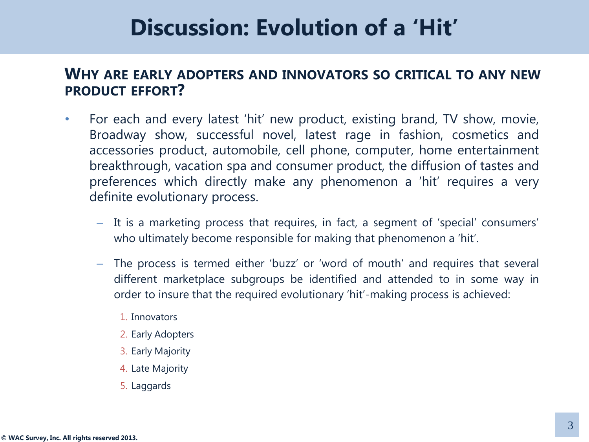### **Discussion: Evolution of a 'Hit'**

#### **WHY ARE EARLY ADOPTERS AND INNOVATORS SO CRITICAL TO ANY NEW PRODUCT EFFORT?**

- For each and every latest 'hit' new product, existing brand, TV show, movie, Broadway show, successful novel, latest rage in fashion, cosmetics and accessories product, automobile, cell phone, computer, home entertainment breakthrough, vacation spa and consumer product, the diffusion of tastes and preferences which directly make any phenomenon a 'hit' requires a very definite evolutionary process.
	- It is a marketing process that requires, in fact, a segment of 'special' consumers' who ultimately become responsible for making that phenomenon a 'hit'.
	- The process is termed either 'buzz' or 'word of mouth' and requires that several different marketplace subgroups be identified and attended to in some way in order to insure that the required evolutionary 'hit'-making process is achieved:
		- 1. Innovators
		- 2. Early Adopters
		- 3. Early Majority
		- 4. Late Majority
		- 5. Laggards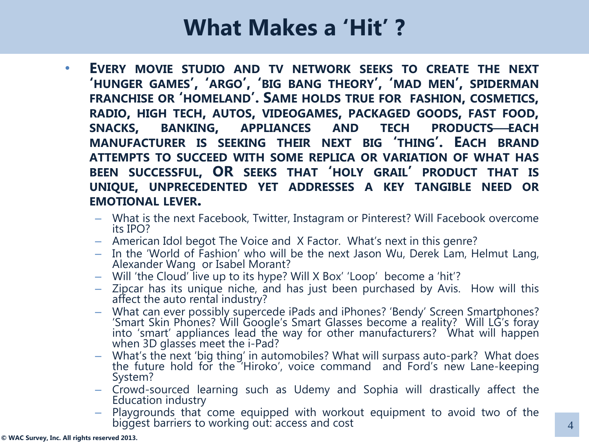### **What Makes a 'Hit' ?**

- **EVERY MOVIE STUDIO AND TV NETWORK SEEKS TO CREATE THE NEXT 'HUNGER GAMES', 'ARGO', 'BIG BANG THEORY', 'MAD MEN', SPIDERMAN FRANCHISE OR 'HOMELAND'. SAME HOLDS TRUE FOR FASHION, COSMETICS, RADIO, HIGH TECH, AUTOS, VIDEOGAMES, PACKAGED GOODS, FAST FOOD, SNACKS, BANKING, APPLIANCES AND TECH PRODUCTSEACH MANUFACTURER IS SEEKING THEIR NEXT BIG 'THING'. EACH BRAND ATTEMPTS TO SUCCEED WITH SOME REPLICA OR VARIATION OF WHAT HAS BEEN SUCCESSFUL, OR SEEKS THAT 'HOLY GRAIL' PRODUCT THAT IS UNIQUE, UNPRECEDENTED YET ADDRESSES A KEY TANGIBLE NEED OR EMOTIONAL LEVER.**
	- What is the next Facebook, Twitter, Instagram or Pinterest? Will Facebook overcome its IPO?
	- American Idol begot The Voice and X Factor. What's next in this genre?
	- In the 'World of Fashion' who will be the next Jason Wu, Derek Lam, Helmut Lang, Alexander Wang or Isabel Morant?
	- Will 'the Cloud' live up to its hype? Will X Box' 'Loop' become a 'hit'?
	- Zipcar has its unique niche, and has just been purchased by Avis. How will this affect the auto rental industry?
	- What can ever possibly supercede iPads and iPhones? 'Bendy' Screen Smartphones? 'Smart Skin Phones? Will Google's Smart Glasses become a reality? Will LG's foray into 'smart' appliances lead the way for other manufacturers? What will happen when 3D glasses meet the i-Pad?
	- What's the next 'big thing' in automobiles? What will surpass auto-park? What does the future hold for the 'Hiroko', voice command and Ford's new Lane-keeping System?
	- Crowd-sourced learning such as Udemy and Sophia will drastically affect the Education industry
	- Playgrounds that come equipped with workout equipment to avoid two of the biggest barriers to working out: access and cost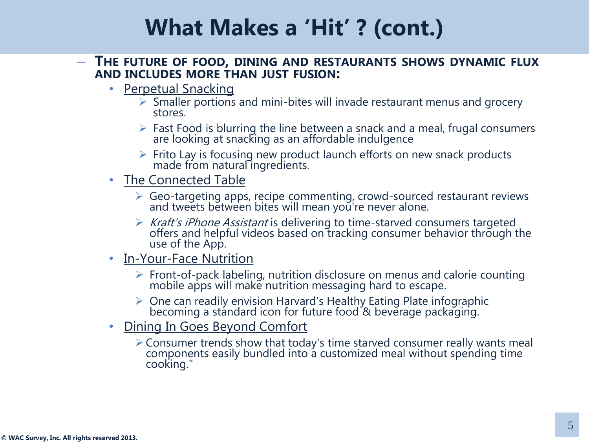#### – **THE FUTURE OF FOOD, DINING AND RESTAURANTS SHOWS DYNAMIC FLUX AND INCLUDES MORE THAN JUST FUSION:**

- Perpetual Snacking
	- $\triangleright$  Smaller portions and mini-bites will invade restaurant menus and grocery stores.
	- $\triangleright$  Fast Food is blurring the line between a snack and a meal, frugal consumers are looking at snacking as an affordable indulgence
	- $\triangleright$  Frito Lay is focusing new product launch efforts on new snack products made from natural ingredients.
- The Connected Table
	- $\triangleright$  Geo-targeting apps, recipe commenting, crowd-sourced restaurant reviews and tweets between bites will mean you're never alone.
	- $\triangleright$  Kraft's iPhone Assistant is delivering to time-starved consumers targeted offers and helpful videos based on tracking consumer behavior through the use of the App.
- In-Your-Face Nutrition
	- $\triangleright$  Front-of-pack labeling, nutrition disclosure on menus and calorie counting mobile apps will make nutrition messaging hard to escape.
	- $\triangleright$  One can readily envision Harvard's Healthy Eating Plate infographic becoming a standard icon for future food & beverage packaging.
- Dining In Goes Beyond Comfort
	- Consumer trends show that today's time starved consumer really wants meal components easily bundled into a customized meal without spending time cooking."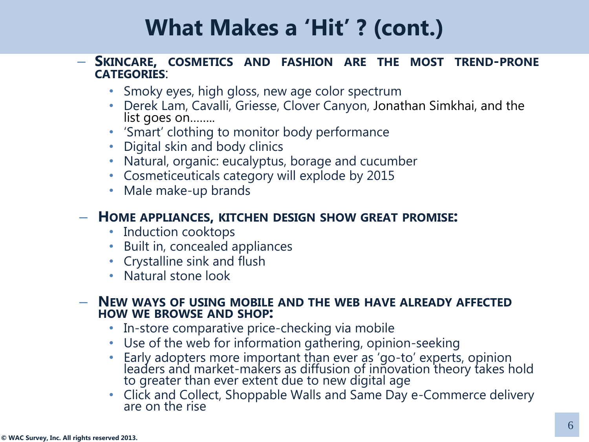#### – **SKINCARE, COSMETICS AND FASHION ARE THE MOST TREND-PRONE CATEGORIES**:

- Smoky eyes, high gloss, new age color spectrum
- Derek Lam, Cavalli, Griesse, Clover Canyon, Jonathan Simkhai, and the list goes on……..
- 'Smart' clothing to monitor body performance
- Digital skin and body clinics
- Natural, organic: eucalyptus, borage and cucumber
- Cosmeticeuticals category will explode by 2015
- Male make-up brands

#### – **HOME APPLIANCES, KITCHEN DESIGN SHOW GREAT PROMISE:**

- Induction cooktops
- Built in, concealed appliances
- Crystalline sink and flush
- Natural stone look

#### – **NEW WAYS OF USING MOBILE AND THE WEB HAVE ALREADY AFFECTED HOW WE BROWSE AND SHOP:**

- In-store comparative price-checking via mobile
- Use of the web for information gathering, opinion-seeking
- Early adopters more important than ever as 'go-to' experts, opinion leaders and market-makers as diffusion of innovation theory takes hold to greater than ever extent due to new digital age
- Click and Collect, Shoppable Walls and Same Day e-Commerce delivery are on the rise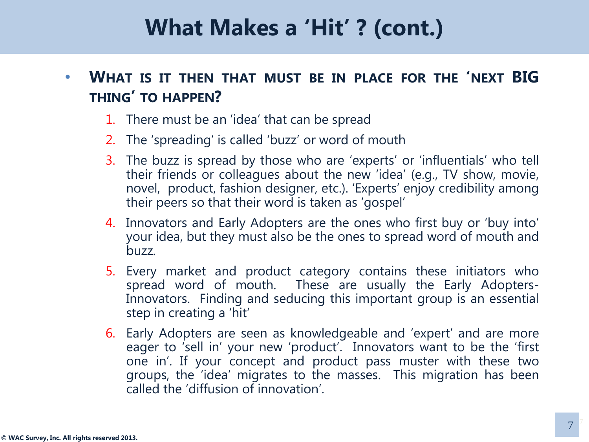#### • **WHAT IS IT THEN THAT MUST BE IN PLACE FOR THE 'NEXT BIG THING' TO HAPPEN?**

- 1. There must be an 'idea' that can be spread
- 2. The 'spreading' is called 'buzz' or word of mouth
- 3. The buzz is spread by those who are 'experts' or 'influentials' who tell their friends or colleagues about the new 'idea' (e.g., TV show, movie, novel, product, fashion designer, etc.). 'Experts' enjoy credibility among their peers so that their word is taken as 'gospel'
- 4. Innovators and Early Adopters are the ones who first buy or 'buy into' your idea, but they must also be the ones to spread word of mouth and buzz.
- 5. Every market and product category contains these initiators who spread word of mouth. These are usually the Early Adopters-Innovators. Finding and seducing this important group is an essential step in creating a 'hit'
- 6. Early Adopters are seen as knowledgeable and 'expert' and are more eager to 'sell in' your new 'product'. Innovators want to be the 'first one in'. If your concept and product pass muster with these two groups, the 'idea' migrates to the masses. This migration has been called the 'diffusion of innovation'.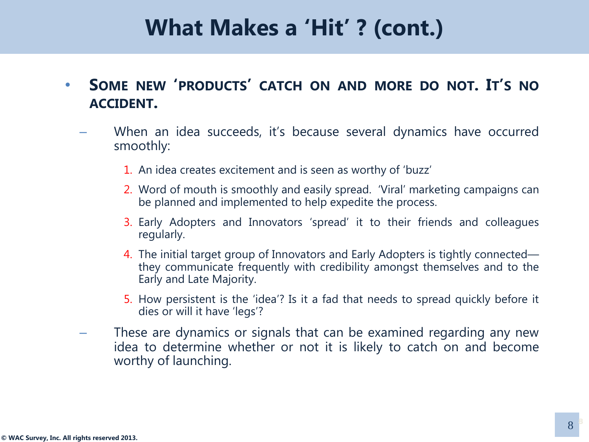- **SOME NEW 'PRODUCTS' CATCH ON AND MORE DO NOT. IT'S NO ACCIDENT.** 
	- When an idea succeeds, it's because several dynamics have occurred smoothly:
		- 1. An idea creates excitement and is seen as worthy of 'buzz'
		- 2. Word of mouth is smoothly and easily spread. 'Viral' marketing campaigns can be planned and implemented to help expedite the process.
		- 3. Early Adopters and Innovators 'spread' it to their friends and colleagues regularly.
		- 4. The initial target group of Innovators and Early Adopters is tightly connected they communicate frequently with credibility amongst themselves and to the Early and Late Majority.
		- 5. How persistent is the 'idea'? Is it a fad that needs to spread quickly before it dies or will it have 'legs'?
		- These are dynamics or signals that can be examined regarding any new idea to determine whether or not it is likely to catch on and become worthy of launching.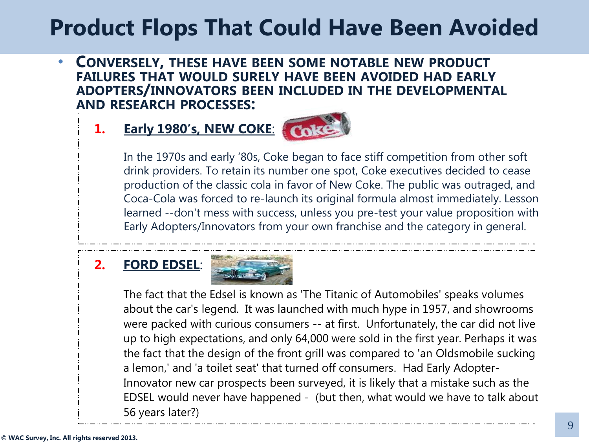• **CONVERSELY, THESE HAVE BEEN SOME NOTABLE NEW PRODUCT FAILURES THAT WOULD SURELY HAVE BEEN AVOIDED HAD EARLY ADOPTERS/INNOVATORS BEEN INCLUDED IN THE DEVELOPMENTAL AND RESEARCH PROCESSES:** 

#### **1. Early 1980's, NEW COKE**:



In the 1970s and early '80s, Coke began to face stiff competition from other soft drink providers. To retain its number one spot, Coke executives decided to cease production of the classic cola in favor of New Coke. The public was outraged, and Coca-Cola was forced to re-launch its original formula almost immediately. Lesson learned --don't mess with success, unless you pre-test your value proposition with Early Adopters/Innovators from your own franchise and the category in general.

#### **2. FORD EDSEL**:



The fact that the Edsel is known as 'The Titanic of Automobiles' speaks volumes about the car's legend. It was launched with much hype in 1957, and showrooms! were packed with curious consumers -- at first. Unfortunately, the car did not live up to high expectations, and only 64,000 were sold in the first year. Perhaps it was the fact that the design of the front grill was compared to 'an Oldsmobile sucking a lemon,' and 'a toilet seat' that turned off consumers. Had Early Adopter-Innovator new car prospects been surveyed, it is likely that a mistake such as the EDSEL would never have happened - (but then, what would we have to talk about 56 years later?)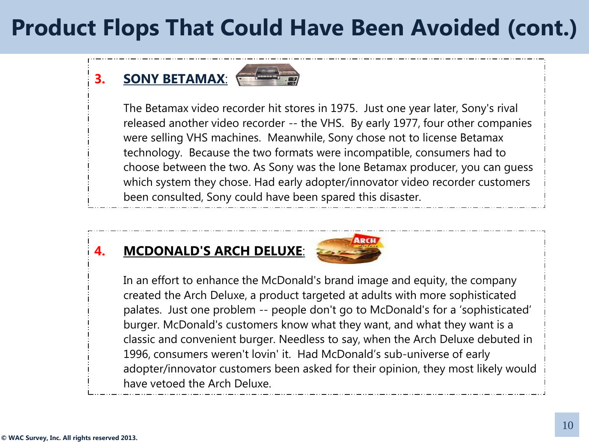#### **3. SONY BETAMAX**:



The Betamax video recorder hit stores in 1975. Just one year later, Sony's rival released another video recorder -- the VHS. By early 1977, four other companies were selling VHS machines. Meanwhile, Sony chose not to license Betamax technology. Because the two formats were incompatible, consumers had to choose between the two. As Sony was the lone Betamax producer, you can guess which system they chose. Had early adopter/innovator video recorder customers been consulted, Sony could have been spared this disaster.

#### **4. MCDONALD'S ARCH DELUXE**:



In an effort to enhance the McDonald's brand image and equity, the company created the Arch Deluxe, a product targeted at adults with more sophisticated palates. Just one problem -- people don't go to McDonald's for a 'sophisticated' burger. McDonald's customers know what they want, and what they want is a classic and convenient burger. Needless to say, when the Arch Deluxe debuted in 1996, consumers weren't lovin' it. Had McDonald's sub-universe of early adopter/innovator customers been asked for their opinion, they most likely would have vetoed the Arch Deluxe.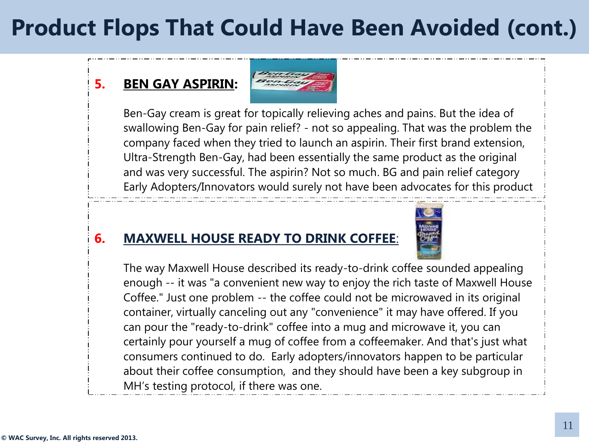#### **5. BEN GAY ASPIRIN:**



Ben-Gay cream is great for topically relieving aches and pains. But the idea of swallowing Ben-Gay for pain relief? - not so appealing. That was the problem the company faced when they tried to launch an aspirin. Their first brand extension, Ultra-Strength Ben-Gay, had been essentially the same product as the original and was very successful. The aspirin? Not so much. BG and pain relief category Early Adopters/Innovators would surely not have been advocates for this product

#### **6. MAXWELL HOUSE READY TO DRINK COFFEE**:



The way Maxwell House described its ready-to-drink coffee sounded appealing enough -- it was "a convenient new way to enjoy the rich taste of Maxwell House Coffee." Just one problem -- the coffee could not be microwaved in its original container, virtually canceling out any "convenience" it may have offered. If you can pour the "ready-to-drink" coffee into a mug and microwave it, you can certainly pour yourself a mug of coffee from a coffeemaker. And that's just what consumers continued to do. Early adopters/innovators happen to be particular about their coffee consumption, and they should have been a key subgroup in MH's testing protocol, if there was one.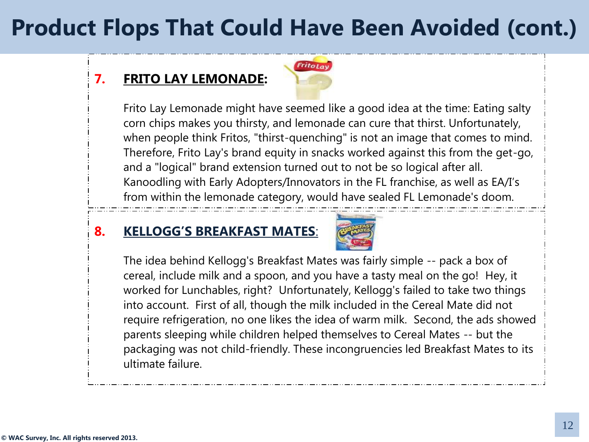#### **7. FRITO LAY LEMONADE:**



Frito Lay Lemonade might have seemed like a good idea at the time: Eating salty corn chips makes you thirsty, and lemonade can cure that thirst. Unfortunately, when people think Fritos, "thirst-quenching" is not an image that comes to mind. Therefore, Frito Lay's brand equity in snacks worked against this from the get-go, and a "logical" brand extension turned out to not be so logical after all. Kanoodling with Early Adopters/Innovators in the FL franchise, as well as EA/I's from within the lemonade category, would have sealed FL Lemonade's doom.

#### **8. KELLOGG'S BREAKFAST MATES**:



The idea behind Kellogg's Breakfast Mates was fairly simple -- pack a box of cereal, include milk and a spoon, and you have a tasty meal on the go! Hey, it worked for Lunchables, right? Unfortunately, Kellogg's failed to take two things into account. First of all, though the milk included in the Cereal Mate did not require refrigeration, no one likes the idea of warm milk. Second, the ads showed parents sleeping while children helped themselves to Cereal Mates -- but the packaging was not child-friendly. These incongruencies led Breakfast Mates to its ultimate failure.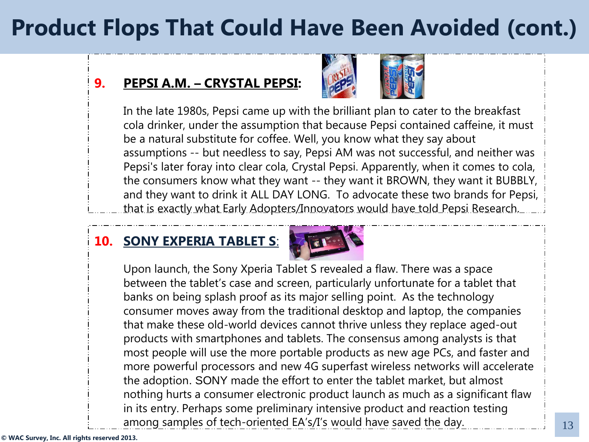#### **9. PEPSI A.M. – CRYSTAL PEPSI:**



In the late 1980s, Pepsi came up with the brilliant plan to cater to the breakfast cola drinker, under the assumption that because Pepsi contained caffeine, it must be a natural substitute for coffee. Well, you know what they say about assumptions -- but needless to say, Pepsi AM was not successful, and neither was Pepsi's later foray into clear cola, Crystal Pepsi. Apparently, when it comes to cola, the consumers know what they want -- they want it BROWN, they want it BUBBLY, and they want to drink it ALL DAY LONG. To advocate these two brands for Pepsi, that is exactly what Early Adopters/Innovators would have told Pepsi Research.

#### **10. SONY EXPERIA TABLET S**:

 $\ddot{\phantom{0}}$ 



Upon launch, the Sony Xperia Tablet S revealed a flaw. There was a space between the tablet's case and screen, particularly unfortunate for a tablet that banks on being splash proof as its major selling point. As the technology consumer moves away from the traditional desktop and laptop, the companies that make these old-world devices cannot thrive unless they replace aged-out products with smartphones and tablets. The consensus among analysts is that most people will use the more portable products as new age PCs, and faster and more powerful processors and new 4G superfast wireless networks will accelerate the adoption. SONY made the effort to enter the tablet market, but almost nothing hurts a consumer electronic product launch as much as a significant flaw in its entry. Perhaps some preliminary intensive product and reaction testing among samples of tech-oriented EA's/I's would have saved the day.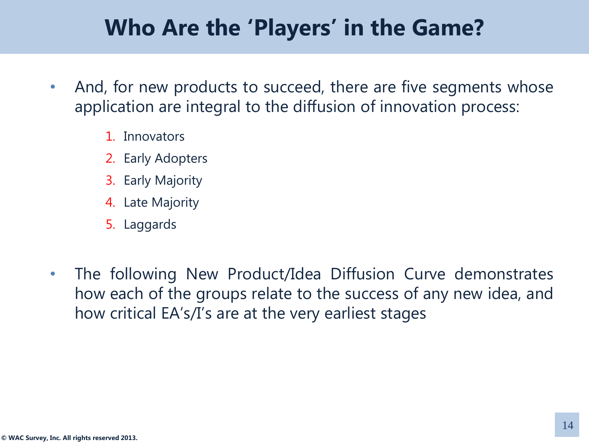### **Who Are the 'Players' in the Game?**

- And, for new products to succeed, there are five segments whose application are integral to the diffusion of innovation process:
	- 1. Innovators
	- 2. Early Adopters
	- 3. Early Majority
	- 4. Late Majority
	- 5. Laggards
- The following New Product/Idea Diffusion Curve demonstrates how each of the groups relate to the success of any new idea, and how critical EA's/I's are at the very earliest stages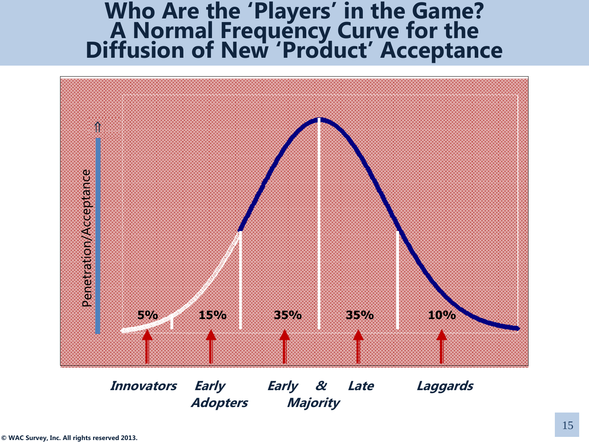#### **Who Are the 'Players' in the Game? A Normal Frequency Curve for the Diffusion of New 'Product' Acceptance**



 **Innovators Early Early & Late Laggards Adopters Majority**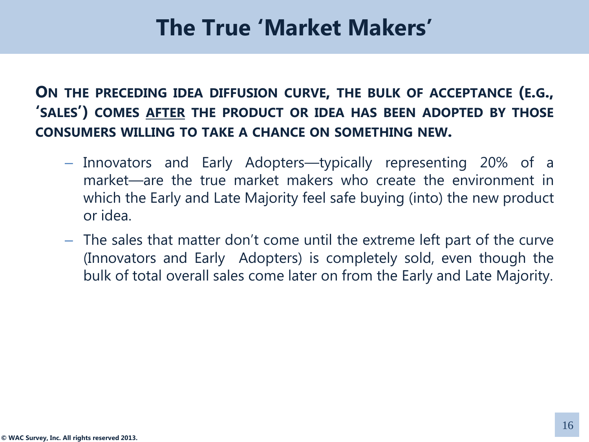### **The True 'Market Makers'**

**ON THE PRECEDING IDEA DIFFUSION CURVE, THE BULK OF ACCEPTANCE (E.G., 'SALES') COMES AFTER THE PRODUCT OR IDEA HAS BEEN ADOPTED BY THOSE CONSUMERS WILLING TO TAKE A CHANCE ON SOMETHING NEW.**

- Innovators and Early Adopters—typically representing 20% of a market—are the true market makers who create the environment in which the Early and Late Majority feel safe buying (into) the new product or idea.
- The sales that matter don't come until the extreme left part of the curve (Innovators and Early Adopters) is completely sold, even though the bulk of total overall sales come later on from the Early and Late Majority.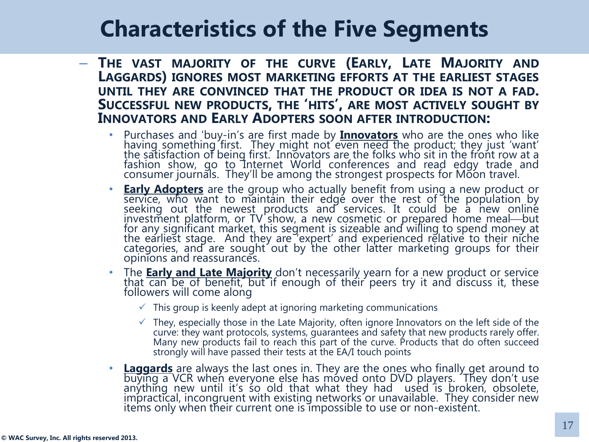# **Characteristics of the Five Segments**

- **THE VAST MAJORITY OF THE CURVE (EARLY, LATE MAJORITY AND LAGGARDS) IGNORES MOST MARKETING EFFORTS AT THE EARLIEST STAGES UNTIL THEY ARE CONVINCED THAT THE PRODUCT OR IDEA IS NOT A FAD. SUCCESSFUL NEW PRODUCTS, THE 'HITS', ARE MOST ACTIVELY SOUGHT BY INNOVATORS AND EARLY ADOPTERS SOON AFTER INTRODUCTION:**
	- Purchases and 'buy-in's are first made by **Innovators** who are the ones who like having something first. They might not even need the product; they just 'want' the satisfaction of being first. Innovators are the folks who sit in the front row at a fashion show, go to Internet World conferences and read edgy trade and consumer journals. They'll be among the strongest prospects for Moon travel.
	- **Early Adopters** are the group who actually benefit from using a new product or service, who want to maintain their edge over the rest of the population by seeking out the newest products and services. It could be a new online investment platform, or TV show, a new cosmetic or prepared home meal—but for any significant market, this segment is sizeable and willing to spend money at the earliest stage. And they are 'expert' and experienced relative to their niche categories, and are sought out by the other latter marketing groups for their opinions and reassurances.
	- The **Early and Late Majority** don't necessarily yearn for a new product or service that can be of benefit, but if enough of their peers try it and discuss it, these followers will come along
		- $\checkmark$  This group is keenly adept at ignoring marketing communications
		- $\checkmark$  They, especially those in the Late Majority, often ignore Innovators on the left side of the curve: they want protocols, systems, guarantees and safety that new products rarely offer. Many new products fail to reach this part of the curve. Products that do often succeed strongly will have passed their tests at the EA/I touch points
	- **Laggards** are always the last ones in. They are the ones who finally get around to buying a VCR when everyone else has moved onto DVD players. They don't use anything new until it's so old that what they had used is broken, obsolete, impractical, incongruent with existing networks or unavailable. They consider new items only when their current one is impossible to use or non-existent.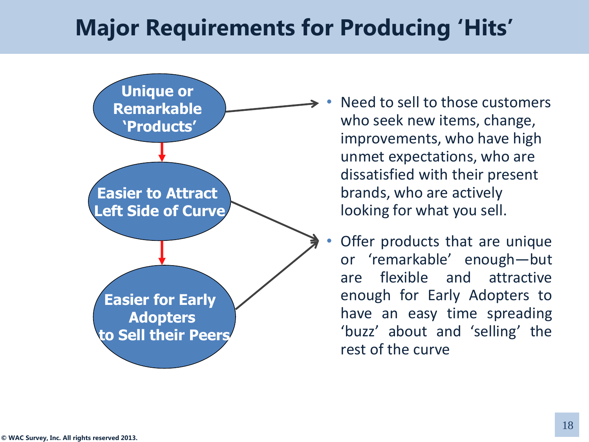## **Major Requirements for Producing 'Hits'**



Need to sell to those customers who seek new items, change, improvements, who have high unmet expectations, who are dissatisfied with their present brands, who are actively looking for what you sell.

• Offer products that are unique or 'remarkable' enough—but are flexible and attractive enough for Early Adopters to have an easy time spreading 'buzz' about and 'selling' the rest of the curve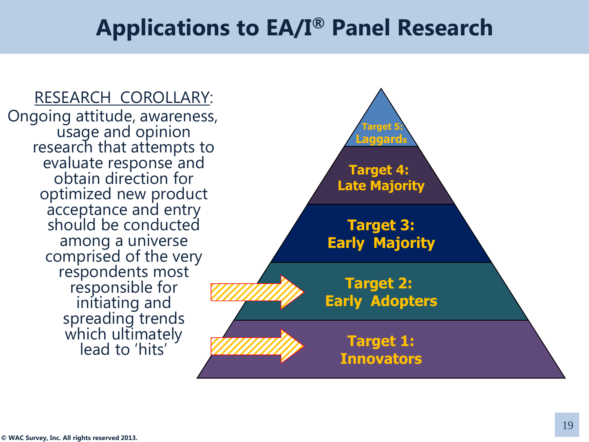### **Applications to EA/I® Panel Research**

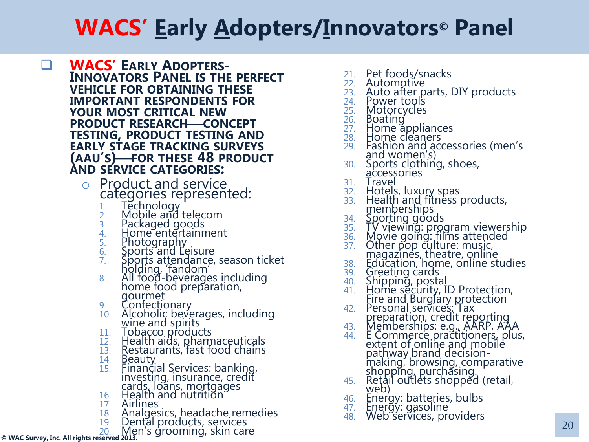- **E WACS'** EARLY ADOPTERS-**INNOVATORS PANEL IS THE PERFECT VEHICLE FOR OBTAINING THESE IMPORTANT RESPONDENTS FOR YOUR MOST CRITICAL NEW PRODUCT RESEARCH CONCEPT TESTING, PRODUCT TESTING AND EARLY STAGE TRACKING SURVEYS (AAU'S)FOR THESE 48 PRODUCT AND SERVICE CATEGORIES:**
	- <sup>o</sup> Product and service categories represented:
		- 1. Technology
		- 2. Mobile and telecom
		- 3. Packaged goods
		- 4. Home entertainment
		- 5. Photography
		- 6. Sports and Leisure
		- 7. Sports attendance, season ticket holding, 'fandom'
		- 8. All food-beverages including home food preparation, gourmet
		- 9. Confectionary
		- 10. Alcoholic beverages, including wine and spirits
		- 11. Tobacco products
		- 12. Health aids, pharmaceuticals
		- 13. Restaurants, fast food chains
		- 14. Beauty
		- 15. Financial Services: banking, investing, insurance, credit cards, loans, mortgages
		- 16. Health and nutrition
		- 17. Airlines
		- 18. Analgesics, headache remedies
		- 19. Dental products, services
		- 20. Men's grooming, skin care
- **© WAC Survey, Inc. All rights reserved 2013.**
- 21. Pet foods/snacks
- 22. Automotive
- 23. Auto after parts, DIY products
- 24. Power tools
- 25. Motorcycles
- 26. Boating
- 27. Home appliances
- 28. Home cleaners
- 29. Fashion and accessories (men's and women's)
- 30. Sports clothing, shoes, accessories
- 31. Travel
- 32. Hotels, luxury spas
- 33. Health and fitness products, memberships
- 34. Sporting goods
- 35. TV viewing: program viewership
- 36. Movie going: films attended
- 37. Other pop culture: music, magazines, theatre, online
- 38. Education, home, online studies
- 39. Greeting cards
- 40. Shipping, postal
- 41. Home security, ID Protection, Fire and Burglary protection
- 42. Personal services: Tax preparation, credit reporting
- 43. Memberships: e.g., AARP, AAA
- 44. E Commerce practitioners, plus, extent of online and mobile pathway brand decisionmaking, browsing, comparative shopping, purchasing.
- 45. Retail outlets shopped (retail, web)
- 46. Energy: batteries, bulbs
- 47. Energy: gasoline
- 48. Web services, providers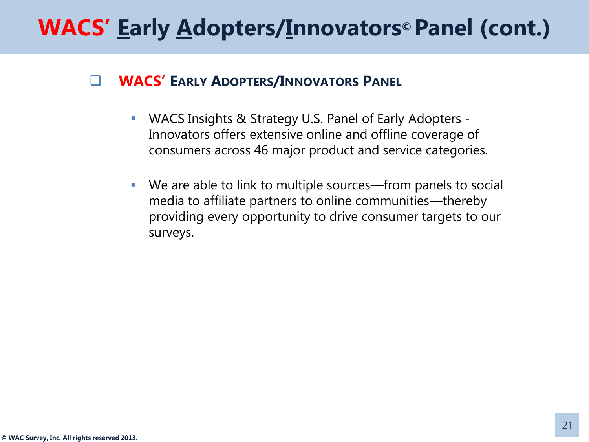#### **WACS' EARLY ADOPTERS/INNOVATORS PANEL**

- WACS Insights & Strategy U.S. Panel of Early Adopters Innovators offers extensive online and offline coverage of consumers across 46 major product and service categories.
- We are able to link to multiple sources—from panels to social media to affiliate partners to online communities—thereby providing every opportunity to drive consumer targets to our surveys.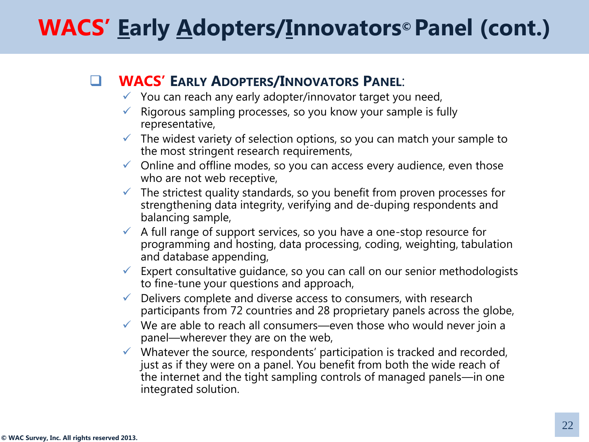#### **WACS' EARLY ADOPTERS/INNOVATORS PANEL**:

- $\checkmark$  You can reach any early adopter/innovator target you need,
- Rigorous sampling processes, so you know your sample is fully representative,
- $\checkmark$  The widest variety of selection options, so you can match your sample to the most stringent research requirements,
- $\checkmark$  Online and offline modes, so you can access every audience, even those who are not web receptive,
- $\checkmark$  The strictest quality standards, so you benefit from proven processes for strengthening data integrity, verifying and de-duping respondents and balancing sample,
- A full range of support services, so you have a one-stop resource for programming and hosting, data processing, coding, weighting, tabulation and database appending,
- Expert consultative guidance, so you can call on our senior methodologists to fine-tune your questions and approach,
- $\checkmark$  Delivers complete and diverse access to consumers, with research participants from 72 countries and 28 proprietary panels across the globe,
- $\checkmark$  We are able to reach all consumers—even those who would never join a panel—wherever they are on the web,
- $\checkmark$  Whatever the source, respondents' participation is tracked and recorded, just as if they were on a panel. You benefit from both the wide reach of the internet and the tight sampling controls of managed panels—in one integrated solution.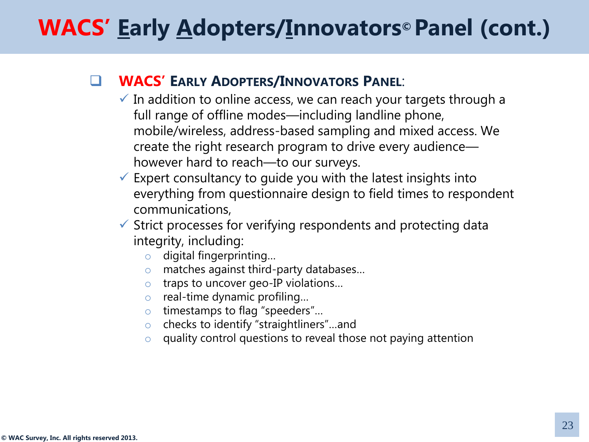#### **WACS' EARLY ADOPTERS/INNOVATORS PANEL**:

- $\checkmark$  In addition to online access, we can reach your targets through a full range of offline modes—including landline phone, mobile/wireless, address-based sampling and mixed access. We create the right research program to drive every audience however hard to reach—to our surveys.
- $\checkmark$  Expert consultancy to guide you with the latest insights into everything from questionnaire design to field times to respondent communications,
- $\checkmark$  Strict processes for verifying respondents and protecting data integrity, including:
	- o digital fingerprinting…
	- o matches against third-party databases…
	- o traps to uncover geo-IP violations…
	- o real-time dynamic profiling…
	- o timestamps to flag "speeders"…
	- o checks to identify "straightliners"…and
	- o quality control questions to reveal those not paying attention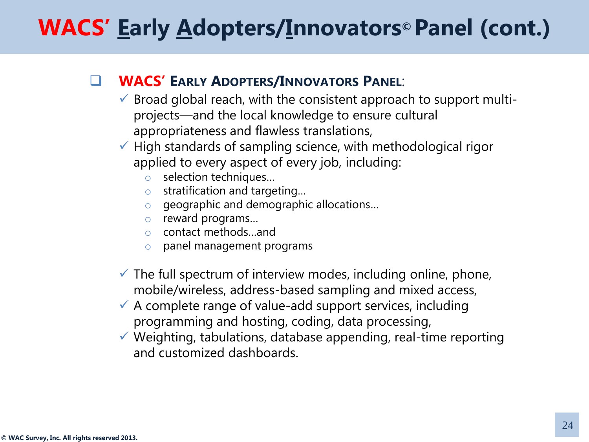#### **WACS' EARLY ADOPTERS/INNOVATORS PANEL**:

- $\checkmark$  Broad global reach, with the consistent approach to support multiprojects—and the local knowledge to ensure cultural appropriateness and flawless translations,
- $\checkmark$  High standards of sampling science, with methodological rigor applied to every aspect of every job, including:
	- o selection techniques…
	- o stratification and targeting…
	- o geographic and demographic allocations…
	- o reward programs…
	- o contact methods…and
	- o panel management programs
- $\checkmark$  The full spectrum of interview modes, including online, phone, mobile/wireless, address-based sampling and mixed access,
- $\checkmark$  A complete range of value-add support services, including programming and hosting, coding, data processing,
- $\checkmark$  Weighting, tabulations, database appending, real-time reporting and customized dashboards.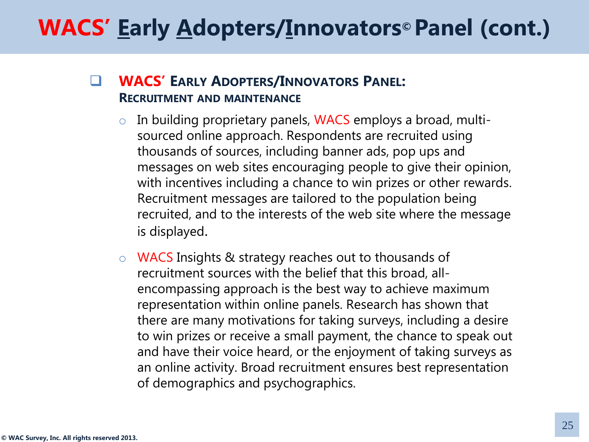#### **WACS' EARLY ADOPTERS/INNOVATORS PANEL: RECRUITMENT AND MAINTENANCE**

- $\circ$  In building proprietary panels, WACS employs a broad, multisourced online approach. Respondents are recruited using thousands of sources, including banner ads, pop ups and messages on web sites encouraging people to give their opinion, with incentives including a chance to win prizes or other rewards. Recruitment messages are tailored to the population being recruited, and to the interests of the web site where the message is displayed.
- o WACS Insights & strategy reaches out to thousands of recruitment sources with the belief that this broad, allencompassing approach is the best way to achieve maximum representation within online panels. Research has shown that there are many motivations for taking surveys, including a desire to win prizes or receive a small payment, the chance to speak out and have their voice heard, or the enjoyment of taking surveys as an online activity. Broad recruitment ensures best representation of demographics and psychographics.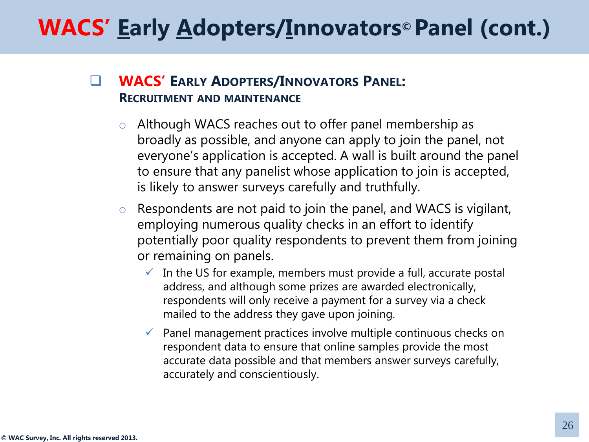#### **WACS' EARLY ADOPTERS/INNOVATORS PANEL: RECRUITMENT AND MAINTENANCE**

- o Although WACS reaches out to offer panel membership as broadly as possible, and anyone can apply to join the panel, not everyone's application is accepted. A wall is built around the panel to ensure that any panelist whose application to join is accepted, is likely to answer surveys carefully and truthfully.
- $\circ$  Respondents are not paid to join the panel, and WACS is vigilant, employing numerous quality checks in an effort to identify potentially poor quality respondents to prevent them from joining or remaining on panels.
	- $\checkmark$  In the US for example, members must provide a full, accurate postal address, and although some prizes are awarded electronically, respondents will only receive a payment for a survey via a check mailed to the address they gave upon joining.
	- $\checkmark$  Panel management practices involve multiple continuous checks on respondent data to ensure that online samples provide the most accurate data possible and that members answer surveys carefully, accurately and conscientiously.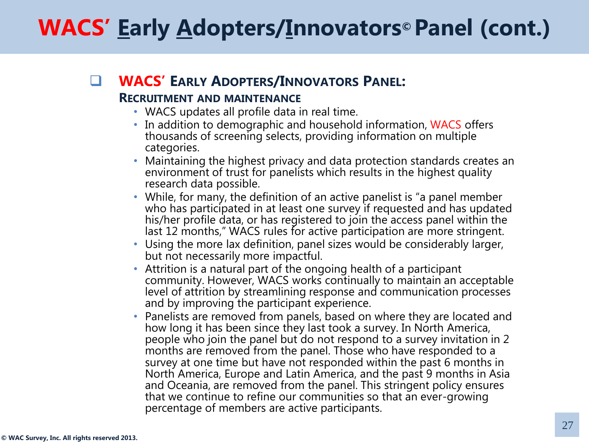### **WACS' EARLY ADOPTERS/INNOVATORS PANEL:**

#### **RECRUITMENT AND MAINTENANCE**

- WACS updates all profile data in real time.
- In addition to demographic and household information, WACS offers thousands of screening selects, providing information on multiple categories.
- Maintaining the highest privacy and data protection standards creates an environment of trust for panelists which results in the highest quality research data possible.
- While, for many, the definition of an active panelist is "a panel member who has participated in at least one survey if requested and has updated his/her profile data, or has registered to join the access panel within the last 12 months," WACS rules for active participation are more stringent.
- Using the more lax definition, panel sizes would be considerably larger, but not necessarily more impactful.
- Attrition is a natural part of the ongoing health of a participant community. However, WACS works continually to maintain an acceptable level of attrition by streamlining response and communication processes and by improving the participant experience.
- Panelists are removed from panels, based on where they are located and how long it has been since they last took a survey. In North America, people who join the panel but do not respond to a survey invitation in 2 months are removed from the panel. Those who have responded to a survey at one time but have not responded within the past 6 months in North America, Europe and Latin America, and the past 9 months in Asia and Oceania, are removed from the panel. This stringent policy ensures that we continue to refine our communities so that an ever-growing percentage of members are active participants.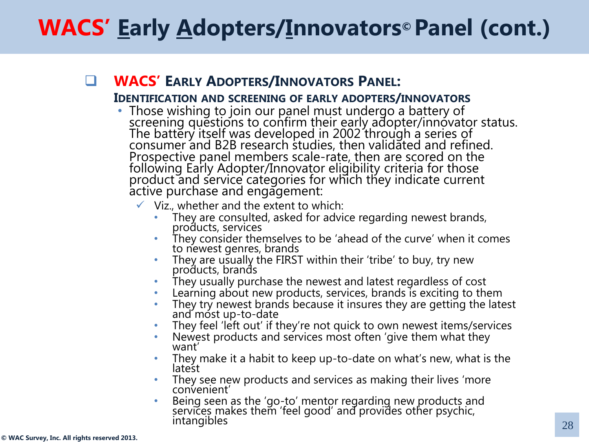#### **WACS' EARLY ADOPTERS/INNOVATORS PANEL:**

#### **IDENTIFICATION AND SCREENING OF EARLY ADOPTERS/INNOVATORS**

- Those wishing to join our panel must undergo a battery of screening questions to confirm their early adopter/innovator status. The battery itself was developed in 2002 through a series of consumer and B2B research studies, then validated and refined. Prospective panel members scale-rate, then are scored on the following Early Adopter/Innovator eligibility criteria for those product and service categories for which they indicate current active purchase and engagement:
	- $\checkmark$  Viz., whether and the extent to which:
		- They are consulted, asked for advice regarding newest brands, products, services
		- They consider themselves to be 'ahead of the curve' when it comes to newest genres, brands
		- They are usually the FIRST within their 'tribe' to buy, try new products, brands
		- They usually purchase the newest and latest regardless of cost
		- Learning about new products, services, brands is exciting to them
		- They try newest brands because it insures they are getting the latest and most up-to-date
		- They feel 'left out' if they're not quick to own newest items/services
		- Newest products and services most often 'give them what they want'
		- They make it a habit to keep up-to-date on what's new, what is the latest
		- They see new products and services as making their lives 'more convenient'
		- Being seen as the 'go-to' mentor regarding new products and services makes them 'feel good' and provides other psychic, intangibles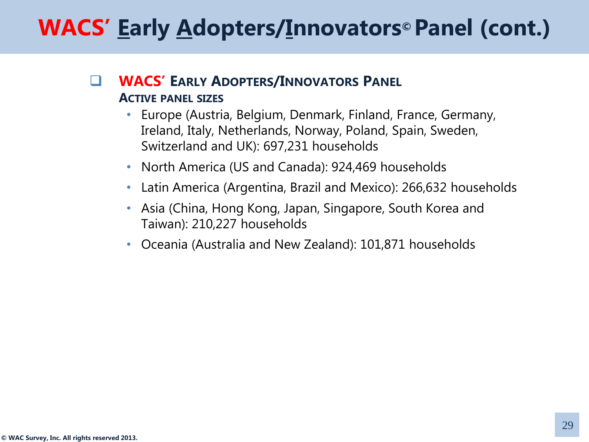#### **WACS' EARLY ADOPTERS/INNOVATORS PANEL ACTIVE PANEL SIZES**

- Europe (Austria, Belgium, Denmark, Finland, France, Germany, Ireland, Italy, Netherlands, Norway, Poland, Spain, Sweden, Switzerland and UK): 697,231 households
- North America (US and Canada): 924,469 households
- Latin America (Argentina, Brazil and Mexico): 266,632 households
- Asia (China, Hong Kong, Japan, Singapore, South Korea and Taiwan): 210,227 households
- Oceania (Australia and New Zealand): 101,871 households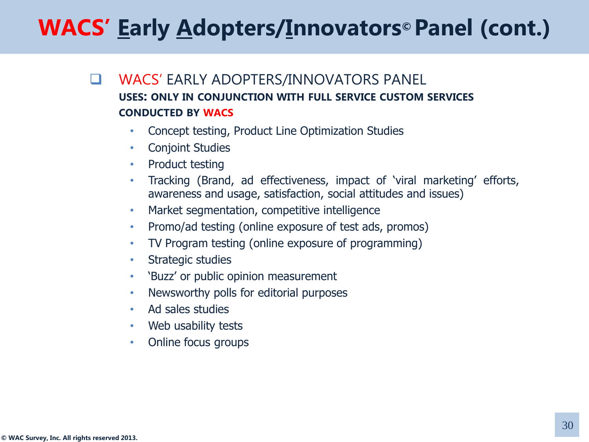- **U** WACS' EARLY ADOPTERS/INNOVATORS PANEL **USES: ONLY IN CONJUNCTION WITH FULL SERVICE CUSTOM SERVICES CONDUCTED BY WACS**
	- Concept testing, Product Line Optimization Studies
	- Conjoint Studies
	- Product testing
	- Tracking (Brand, ad effectiveness, impact of 'viral marketing' efforts, awareness and usage, satisfaction, social attitudes and issues)
	- Market segmentation, competitive intelligence
	- Promo/ad testing (online exposure of test ads, promos)
	- TV Program testing (online exposure of programming)
	- Strategic studies
	- 'Buzz' or public opinion measurement
	- Newsworthy polls for editorial purposes
	- Ad sales studies
	- Web usability tests
	- Online focus groups